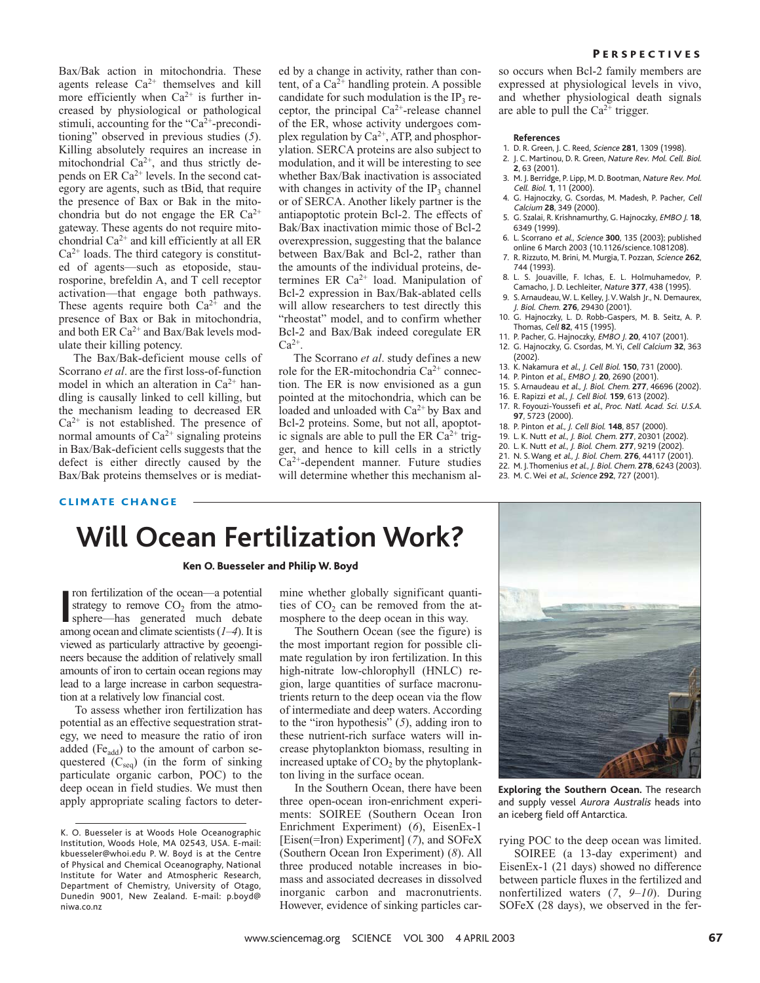Bax/Bak action in mitochondria. These agents release  $Ca^{2+}$  themselves and kill more efficiently when  $Ca^{2+}$  is further increased by physiological or pathological stimuli, accounting for the " $Ca<sup>2+</sup>$ -preconditioning" observed in previous studies (*5*). Killing absolutely requires an increase in mitochondrial Ca<sup>2+</sup>, and thus strictly depends on ER  $Ca^{2+}$  levels. In the second category are agents, such as tBid, that require the presence of Bax or Bak in the mitochondria but do not engage the ER  $Ca^{2+}$ gateway. These agents do not require mitochondrial  $Ca^{2+}$  and kill efficiently at all ER  $Ca<sup>2+</sup>$  loads. The third category is constituted of agents—such as etoposide, staurosporine, brefeldin A, and T cell receptor activation—that engage both pathways. These agents require both  $Ca^{2+}$  and the presence of Bax or Bak in mitochondria, and both ER  $Ca^{2+}$  and Bax/Bak levels modulate their killing potency.

The Bax/Bak-deficient mouse cells of Scorrano *et al*. are the first loss-of-function model in which an alteration in  $Ca^{2+}$  handling is causally linked to cell killing, but the mechanism leading to decreased ER  $Ca<sup>2+</sup>$  is not established. The presence of normal amounts of  $Ca^{2+}$  signaling proteins in Bax/Bak-deficient cells suggests that the defect is either directly caused by the Bax/Bak proteins themselves or is mediated by a change in activity, rather than content, of a  $Ca^{2+}$  handling protein. A possible candidate for such modulation is the  $IP_3$  receptor, the principal  $Ca^{2+}$ -release channel of the ER, whose activity undergoes complex regulation by  $Ca^{2+}$ , ATP, and phosphorylation. SERCA proteins are also subject to modulation, and it will be interesting to see whether Bax/Bak inactivation is associated with changes in activity of the  $IP<sub>3</sub>$  channel or of SERCA. Another likely partner is the antiapoptotic protein Bcl-2. The effects of Bak/Bax inactivation mimic those of Bcl-2 overexpression, suggesting that the balance between Bax/Bak and Bcl-2, rather than the amounts of the individual proteins, determines ER  $Ca^{2+}$  load. Manipulation of Bcl-2 expression in Bax/Bak-ablated cells will allow researchers to test directly this "rheostat" model, and to confirm whether Bcl-2 and Bax/Bak indeed coregulate ER  $Ca^{2+}$ .

The Scorrano *et al*. study defines a new role for the ER-mitochondria  $Ca^{2+}$  connection. The ER is now envisioned as a gun pointed at the mitochondria, which can be loaded and unloaded with  $Ca^{2+}$  by Bax and Bcl-2 proteins. Some, but not all, apoptotic signals are able to pull the ER  $Ca^{2+}$  trigger, and hence to kill cells in a strictly  $Ca<sup>2+</sup>$ -dependent manner. Future studies will determine whether this mechanism al-

#### **PERSPECTIVES**

so occurs when Bcl-2 family members are expressed at physiological levels in vivo, and whether physiological death signals are able to pull the  $Ca^{2+}$  trigger.

#### **References**

- 1. D. R. Green, J. C. Reed, Science **281**, 1309 (1998).
- 2. J. C. Martinou, D. R. Green, Nature Rev. Mol. Cell. Biol. **2**, 63 (2001).
- 3. M. J. Berridge, P. Lipp, M. D. Bootman, Nature Rev. Mol. Cell. Biol. **1**, 11 (2000).
- 4. G. Hajnoczky, G. Csordas, M. Madesh, P. Pacher, Cell Calcium **28**, 349 (2000).
- 5. G. Szalai, R. Krishnamurthy, G. Hajnoczky, EMBO J. **18**, 6349 (1999).
- 6. L. Scorrano et al., Science **300**, 135 (2003); published online 6 March 2003 (10.1126/science.1081208).
- 7. R. Rizzuto, M. Brini, M. Murgia, T. Pozzan, Science **262**, 744 (1993).
- 8. L. S. Jouaville, F. Ichas, E. L. Holmuhamedov, P. Camacho, J. D. Lechleiter, Nature **377**, 438 (1995).
- 9. S. Arnaudeau, W. L. Kelley, J. V. Walsh Jr., N. Demaurex, J. Biol. Chem. **276**, 29430 (2001).
- 10. G. Hajnoczky, L. D. Robb-Gaspers, M. B. Seitz, A. P. Thomas, Cell **82**, 415 (1995).
- 11. P. Pacher, G. Hajnoczky, EMBO J. **20**, 4107 (2001).
- 12. G. Hajnoczky, G. Csordas, M. Yi, Cell Calcium **32**, 363 (2002).
- 13. K. Nakamura et al., J. Cell Biol. **150**, 731 (2000).
- 14. P. Pinton et al., EMBO J. **20**, 2690 (2001).
- 15. S. Arnaudeau et al., J. Biol. Chem. **277**, 46696 (2002).
- 16. E. Rapizzi et al., J. Cell Biol. **159**, 613 (2002). 17. R. Foyouzi-Youssefi et al., Proc. Natl. Acad. Sci. U.S.A.
- **97**, 5723 (2000).
- 18. P. Pinton et al., J. Cell Biol. **148**, 857 (2000).
- 19. L. K. Nutt et al., J. Biol. Chem. **277**, 20301 (2002).
- 20. L. K. Nutt et al., J. Biol. Chem. **277**, 9219 (2002).
- 21. N. S. Wang et al., J. Biol. Chem. **276**, 44117 (2001). 22. M. J.Thomenius et al., J. Biol. Chem. **278**, 6243 (2003).
- 23. M. C. Wei et al., Science **292**, 727 (2001).

### CLIMATE CHANGE

# **Will Ocean Fertilization Work?**

## Ken O. Buesseler and Philip W. Boyd

If you fertilization of the ocean—a potential<br>strategy to remove  $CO_2$  from the atmo-<br>sphere—has generated much debate<br>among ocean and climate scientists  $(1-4)$ . It is ron fertilization of the ocean—a potential strategy to remove  $CO<sub>2</sub>$  from the atmosphere—has generated much debate viewed as particularly attractive by geoengineers because the addition of relatively small amounts of iron to certain ocean regions may lead to a large increase in carbon sequestration at a relatively low financial cost.

To assess whether iron fertilization has potential as an effective sequestration strategy, we need to measure the ratio of iron added (Fe $_{\text{add}}$ ) to the amount of carbon sequestered  $(C_{seq})$  (in the form of sinking particulate organic carbon, POC) to the deep ocean in field studies. We must then apply appropriate scaling factors to deter-

mine whether globally significant quantities of  $CO<sub>2</sub>$  can be removed from the atmosphere to the deep ocean in this way.

The Southern Ocean (see the figure) is the most important region for possible climate regulation by iron fertilization. In this high-nitrate low-chlorophyll (HNLC) region, large quantities of surface macronutrients return to the deep ocean via the flow of intermediate and deep waters. According to the "iron hypothesis" (*5*), adding iron to these nutrient-rich surface waters will increase phytoplankton biomass, resulting in increased uptake of  $CO<sub>2</sub>$  by the phytoplankton living in the surface ocean.

In the Southern Ocean, there have been three open-ocean iron-enrichment experiments: SOIREE (Southern Ocean Iron Enrichment Experiment) (*6*), EisenEx-1 [Eisen(=Iron) Experiment] (*7*), and SOFeX (Southern Ocean Iron Experiment) (*8*). All three produced notable increases in biomass and associated decreases in dissolved inorganic carbon and macronutrients. However, evidence of sinking particles car-



**Exploring the Southern Ocean.** The research and supply vessel Aurora Australis heads into an iceberg field off Antarctica.

rying POC to the deep ocean was limited.

SOIREE (a 13-day experiment) and EisenEx-1 (21 days) showed no difference between particle fluxes in the fertilized and nonfertilized waters (*7*, *9*–*10*). During SOFeX (28 days), we observed in the fer-

K. O. Buesseler is at Woods Hole Oceanographic Institution, Woods Hole, MA 02543, USA. E-mail: kbuesseler@whoi.edu P. W. Boyd is at the Centre of Physical and Chemical Oceanography, National Institute for Water and Atmospheric Research, Department of Chemistry, University of Otago, Dunedin 9001, New Zealand. E-mail: p.boyd@ niwa.co.nz